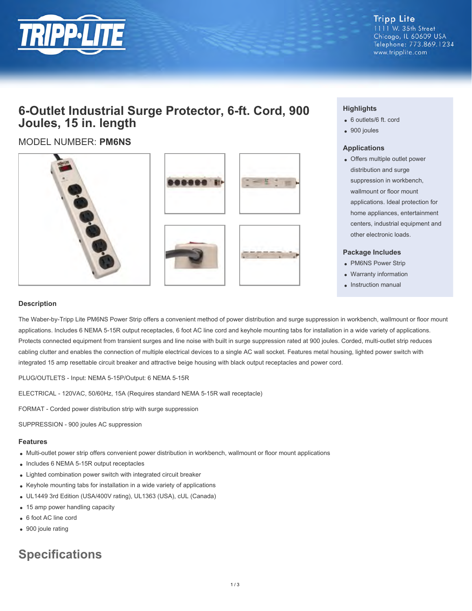

**Tripp Lite** 1111 W. 35th Street Chicago, IL 60609 USA Telephone: 773.869.1234 www.tripplite.com

## **6-Outlet Industrial Surge Protector, 6-ft. Cord, 900 Joules, 15 in. length**

### MODEL NUMBER: **PM6NS**









#### **Highlights**

- 6 outlets/6 ft. cord
- 900 joules

#### **Applications**

Offers multiple outlet power distribution and surge suppression in workbench, wallmount or floor mount applications. Ideal protection for home appliances, entertainment centers, industrial equipment and other electronic loads.

#### **Package Includes**

- PM6NS Power Strip
- Warranty information
- Instruction manual

#### **Description**

The Waber-by-Tripp Lite PM6NS Power Strip offers a convenient method of power distribution and surge suppression in workbench, wallmount or floor mount applications. Includes 6 NEMA 5-15R output receptacles, 6 foot AC line cord and keyhole mounting tabs for installation in a wide variety of applications. Protects connected equipment from transient surges and line noise with built in surge suppression rated at 900 joules. Corded, multi-outlet strip reduces cabling clutter and enables the connection of multiple electrical devices to a single AC wall socket. Features metal housing, lighted power switch with integrated 15 amp resettable circuit breaker and attractive beige housing with black output receptacles and power cord.

PLUG/OUTLETS - Input: NEMA 5-15P/Output: 6 NEMA 5-15R

ELECTRICAL - 120VAC, 50/60Hz, 15A (Requires standard NEMA 5-15R wall receptacle)

FORMAT - Corded power distribution strip with surge suppression

SUPPRESSION - 900 joules AC suppression

#### **Features**

- Multi-outlet power strip offers convenient power distribution in workbench, wallmount or floor mount applications
- Includes 6 NEMA 5-15R output receptacles
- Lighted combination power switch with integrated circuit breaker
- Keyhole mounting tabs for installation in a wide variety of applications
- UL1449 3rd Edition (USA/400V rating), UL1363 (USA), cUL (Canada)
- 15 amp power handling capacity
- 6 foot AC line cord
- 900 joule rating

# **Specifications**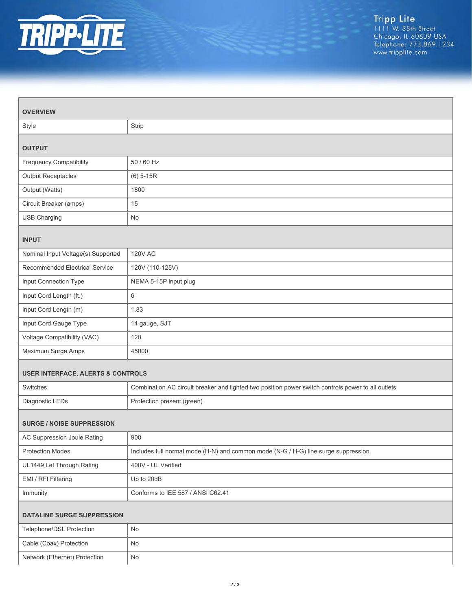

| <b>OVERVIEW</b>                              |                                                                                                    |  |
|----------------------------------------------|----------------------------------------------------------------------------------------------------|--|
| Style                                        | Strip                                                                                              |  |
| <b>OUTPUT</b>                                |                                                                                                    |  |
| <b>Frequency Compatibility</b>               | 50 / 60 Hz                                                                                         |  |
| Output Receptacles                           | $(6) 5-15R$                                                                                        |  |
| Output (Watts)                               | 1800                                                                                               |  |
| Circuit Breaker (amps)                       | 15                                                                                                 |  |
| <b>USB Charging</b>                          | <b>No</b>                                                                                          |  |
| <b>INPUT</b>                                 |                                                                                                    |  |
| Nominal Input Voltage(s) Supported           | <b>120V AC</b>                                                                                     |  |
| Recommended Electrical Service               | 120V (110-125V)                                                                                    |  |
| Input Connection Type                        | NEMA 5-15P input plug                                                                              |  |
| Input Cord Length (ft.)                      | $6\phantom{1}6$                                                                                    |  |
| Input Cord Length (m)                        | 1.83                                                                                               |  |
| Input Cord Gauge Type                        | 14 gauge, SJT                                                                                      |  |
| Voltage Compatibility (VAC)                  | 120                                                                                                |  |
| Maximum Surge Amps                           | 45000                                                                                              |  |
| <b>USER INTERFACE, ALERTS &amp; CONTROLS</b> |                                                                                                    |  |
| Switches                                     | Combination AC circuit breaker and lighted two position power switch controls power to all outlets |  |
| Diagnostic LEDs                              | Protection present (green)                                                                         |  |
| <b>SURGE / NOISE SUPPRESSION</b>             |                                                                                                    |  |
| AC Suppression Joule Rating                  | 900                                                                                                |  |
| <b>Protection Modes</b>                      | Includes full normal mode (H-N) and common mode (N-G / H-G) line surge suppression                 |  |
| UL1449 Let Through Rating                    | 400V - UL Verified                                                                                 |  |
| EMI / RFI Filtering                          | Up to 20dB                                                                                         |  |
| Immunity                                     | Conforms to IEE 587 / ANSI C62.41                                                                  |  |
| DATALINE SURGE SUPPRESSION                   |                                                                                                    |  |
| Telephone/DSL Protection                     | No                                                                                                 |  |
| Cable (Coax) Protection                      | No                                                                                                 |  |
| Network (Ethernet) Protection                | $\mathsf{No}$                                                                                      |  |